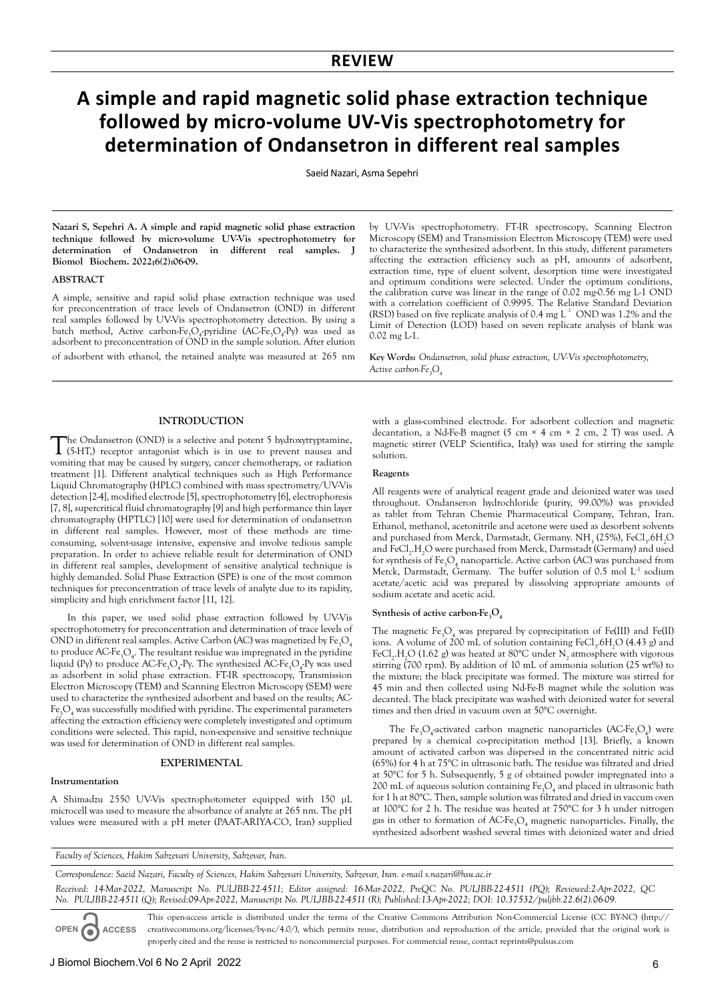# **A simple and rapid magnetic solid phase extraction technique followed by micro-volume UV-Vis spectrophotometry for determination of Ondansetron in different real samples**

Saeid Nazari, Asma Sepehri

**Nazari S, Sepehri A. A simple and rapid magnetic solid phase extraction technique followed by micro-volume UV-Vis spectrophotometry for determination of Ondansetron in different real samples. J Biomol Biochem. 2022;6(2):06-09.**

# **ABSTRACT**

A simple, sensitive and rapid solid phase extraction technique was used for preconcentration of trace levels of Ondansetron (OND) in different real samples followed by UV-Vis spectrophotometry detection. By using a batch method, Active carbon-Fe<sub>3</sub>O<sub>4</sub>-pyridine (AC-Fe<sub>3</sub>O<sub>4</sub>-Py) was used as adsorbent to preconcentration of OND in the sample solution. After elution of adsorbent with ethanol, the retained analyte was measured at 265 nm by UV-Vis spectrophotometry. FT-IR spectroscopy, Scanning Electron Microscopy (SEM) and Transmission Electron Microscopy (TEM) were used to characterize the synthesized adsorbent. In this study, different parameters affecting the extraction efficiency such as pH, amounts of adsorbent, extraction time, type of eluent solvent, desorption time were investigated and optimum conditions were selected. Under the optimum conditions, the calibration curve was linear in the range of 0.02 mg-0.56 mg L-1 OND with a correlation coefficient of 0.9995. The Relative Standard Deviation Limit of Detection (LOD) based on seven replicate analysis of blank was  $0.02$  mg  $L1$ . (RSD) based on five replicate analysis of 0.4 mg  $L^1$  OND was 1.2% and the

**Key Words:** *Ondansetron, solid phase extraction, UV-Vis spectrophotometry, Active carbon-Fe3O<sup>4</sup>*

# **INTRODUCTION**

The Ondansetron (OND) is a selective and potent 5 hydroxytryptamine, (5-HT,) receptor antagonist which is in use to prevent nausea and vomiting that may be caused by surgery, cancer chemotherapy, or radiation treatment [1]. Different analytical techniques such as High Performance Liquid Chromatography (HPLC) combined with mass spectrometry/UV-Vis detection [2-4], modified electrode [5], spectrophotometry [6], electrophoresis [7, 8], supercritical fluid chromatography [9] and high performance thin layer chromatography (HPTLC) [10] were used for determination of ondansetron in different real samples. However, most of these methods are timeconsuming, solvent-usage intensive, expensive and involve tedious sample preparation. In order to achieve reliable result for determination of OND in different real samples, development of sensitive analytical technique is highly demanded. Solid Phase Extraction (SPE) is one of the most common techniques for preconcentration of trace levels of analyte due to its rapidity, simplicity and high enrichment factor [11, 12].

In this paper, we used solid phase extraction followed by UV-Vis spectrophotometry for preconcentration and determination of trace levels of OND in different real samples. Active Carbon (AC) was magnetized by  $\text{Fe}_{3}\text{O}_4$ to produce  $\mathrm{ACFe}_3\mathrm{O}_4$ . The resultant residue was impregnated in the pyridine liquid (Py) to produce  $\mathrm{ACFe}_3\mathrm{O}_4\text{-}$ Py. The synthesized  $\mathrm{ACFe}_3\mathrm{O}_4\text{-}$ Py was used as adsorbent in solid phase extraction. FT-IR spectroscopy, Transmission Electron Microscopy (TEM) and Scanning Electron Microscopy (SEM) were used to characterize the synthesized adsorbent and based on the results; AC-Fe<sub>3</sub>O<sub>4</sub> was successfully modified with pyridine. The experimental parameters affecting the extraction efficiency were completely investigated and optimum conditions were selected. This rapid, non-expensive and sensitive technique was used for determination of OND in different real samples.

# **EXPERIMENTAL**

#### **Instrumentation**

A Shimadzu 2550 UV-Vis spectrophotometer equipped with 150 µL microcell was used to measure the absorbance of analyte at 265 nm. The pH values were measured with a pH meter (PAAT-ARIYA-CO, Iran) supplied with a glass-combined electrode. For adsorbent collection and magnetic decantation, a Nd-Fe-B magnet (5 cm × 4 cm × 2 cm, 2 T) was used. A magnetic stirrer (VELP Scientifica, Italy) was used for stirring the sample solution.

# **Reagents**

All reagents were of analytical reagent grade and deionized water was used throughout. Ondanseron hydrochloride (purity, 99.00%) was provided as tablet from Tehran Chemie Pharmaceutical Company, Tehran, Iran. Ethanol, methanol, acetonitrile and acetone were used as desorbent solvents and purchased from Merck, Darmstadt, Germany.  $NH<sub>3</sub>$  (25%), FeCl<sub>3</sub>.6H<sub>2</sub>O and FeCl<sub>2</sub>.H<sub>2</sub>O were purchased from Merck, Darmstadt (Germany) and used for synthesis of  $Fe_{3}O_{4}$  nanoparticle. Active carbon (AC) was purchased from Merck, Darmstadt, Germany. The buffer solution of  $0.5$  mol  $L<sup>-1</sup>$  sodium acetate/acetic acid was prepared by dissolving appropriate amounts of sodium acetate and acetic acid.

# Synthesis of active carbon-Fe<sub>3</sub>O<sub>4</sub>

The magnetic  $Fe<sub>3</sub>O<sub>4</sub>$  was prepared by coprecipitation of Fe(III) and Fe(II) ions. A volume of 200 mL of solution containing  $FeCl<sub>3</sub>$ .6H<sub>2</sub>O (4.43 g) and FeCl<sub>2</sub>.H<sub>2</sub>O (1.62 g) was heated at 80°C under N<sub>2</sub> atmosphere with vigorous stirring (700 rpm). By addition of 10 mL of ammonia solution (25 wt%) to the mixture; the black precipitate was formed. The mixture was stirred for 45 min and then collected using Nd-Fe-B magnet while the solution was decanted. The black precipitate was washed with deionized water for several times and then dried in vacuum oven at 50°C overnight.

The Fe<sub>3</sub>O<sub>4</sub>-activated carbon magnetic nanoparticles (AC-Fe<sub>3</sub>O<sub>4</sub>) were prepared by a chemical co-precipitation method [13]. Briefly, a known amount of activated carbon was dispersed in the concentrated nitric acid (65%) for 4 h at 75°C in ultrasonic bath. The residue was filtrated and dried at 50°C for 5 h. Subsequently, 5 g of obtained powder impregnated into a 200 mL of aqueous solution containing  $\text{Fe}_{3}\text{O}_{4}$  and placed in ultrasonic bath for 1 h at 80°C. Then, sample solution was filtrated and dried in vaccum oven at 100°C for 2 h. The residue was heated at 750°C for 3 h under nitrogen gas in other to formation of  $ACFe<sub>3</sub>O<sub>4</sub>$  magnetic nanoparticles. Finally, the synthesized adsorbent washed several times with deionized water and dried

*Faculty of Sciences, Hakim Sabzevari University, Sabzevar, Iran.*

*Correspondence: Saeid Nazari, Faculty of Sciences, Hakim Sabzevari University, Sabzevar, Iran. e-mail s.nazari@hsu.ac.ir Received: 14-Mar-2022, Manuscript No. PULJBB-22-4511; Editor assigned: 16-Mar-2022, PreQC No. PULJBB-22-4511 (PQ); Reviewed:2-Apr-2022, QC No. PULJBB-22-4511 (Q); Revised:09-Apr-2022, Manuscript No. PULJBB-22-4511 (R); Published:13-Apr-2022; DOI: 10.37532/puljbb.22.6(2).06-09.*

**OPEN ACCESS** This open-access article is distributed under the terms of the Creative Commons Attribution Non-Commercial License (CC BY-NC) (http:// creativecommons.org/licenses/by-nc/4.0/), which permits reuse, distribution and reproduction of the article, provided that the original work is properly cited and the reuse is restricted to noncommercial purposes. For commercial reuse, contact reprints@pulsus.com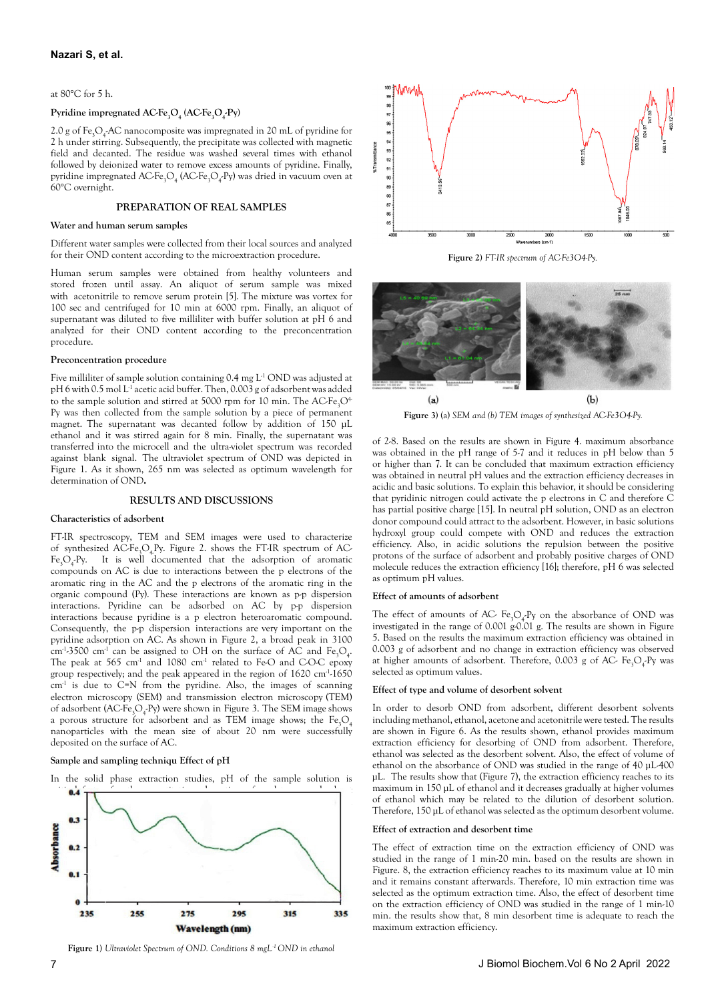at 80°C for 5 h.

# **Pyridine impregnated AC-Fe3O<sup>4</sup> (AC-Fe3O<sup>4</sup> -Py)**

2.0 g of  $Fe_{3}O_{4}$ -AC nanocomposite was impregnated in 20 mL of pyridine for 2 h under stirring. Subsequently, the precipitate was collected with magnetic field and decanted. The residue was washed several times with ethanol followed by deionized water to remove excess amounts of pyridine. Finally, pyridine impregnated  $\text{ACFe}_3\text{O}_4$  (AC-Fe<sub>3</sub>O<sub>4</sub>-Py) was dried in vacuum oven at 60°C overnight.

# **PREPARATION OF REAL SAMPLES**

## **Water and human serum samples**

Different water samples were collected from their local sources and analyzed for their OND content according to the microextraction procedure.

Human serum samples were obtained from healthy volunteers and stored frozen until assay. An aliquot of serum sample was mixed with acetonitrile to remove serum protein [5]. The mixture was vortex for 100 sec and centrifuged for 10 min at 6000 rpm. Finally, an aliquot of supernatant was diluted to five milliliter with buffer solution at pH 6 and analyzed for their OND content according to the preconcentration procedure.

#### **Preconcentration procedure**

Five milliliter of sample solution containing  $0.4$  mg  $L<sup>1</sup>$  OND was adjusted at pH 6 with 0.5 mol L<sup>1</sup> acetic acid buffer. Then, 0.003 g of adsorbent was added to the sample solution and stirred at 5000 rpm for 10 min. The  $ACFe.O<sup>4</sup>$ Py was then collected from the sample solution by a piece of permanent magnet. The supernatant was decanted follow by addition of 150 µL ethanol and it was stirred again for 8 min. Finally, the supernatant was transferred into the microcell and the ultra-violet spectrum was recorded against blank signal. The ultraviolet spectrum of OND was depicted in Figure 1. As it shown, 265 nm was selected as optimum wavelength for determination of OND**.**

#### **RESULTS AND DISCUSSIONS**

#### **Characteristics of adsorbent**

FT-IR spectroscopy, TEM and SEM images were used to characterize of synthesized  $\angle$ AC-Fe<sub>3</sub>O<sub>4</sub>Py. Figure 2. shows the FT-IR spectrum of AC- $Fe<sub>3</sub>O<sub>4</sub>$  Py. It is well documented that the adsorption of aromatic compounds on AC is due to interactions between the p electrons of the aromatic ring in the AC and the p electrons of the aromatic ring in the organic compound (Py). These interactions are known as p-p dispersion interactions. Pyridine can be adsorbed on AC by p-p dispersion interactions because pyridine is a p electron heteroaromatic compound. Consequently, the p-p dispersion interactions are very important on the pyridine adsorption on AC. As shown in Figure 2, a broad peak in 3100  $\text{cm}^4$ -3500  $\text{cm}^4$  can be assigned to OH on the surface of AC and Fe<sub>3</sub>O<sub>4</sub>. The peak at 565  $cm<sup>-1</sup>$  and 1080  $cm<sup>-1</sup>$  related to Fe-O and C-O-C epoxy group respectively; and the peak appeared in the region of 1620 cm-1-1650  $cm<sup>-1</sup>$  is due to  $C=N$  from the pyridine. Also, the images of scanning electron microscopy (SEM) and transmission electron microscopy (TEM) of adsorbent (AC-Fe<sub>3</sub>O<sub>4</sub>-Py) were shown in Figure 3. The SEM image shows a porous structure for adsorbent and as TEM image shows; the Fe $O<sub>4</sub>$ nanoparticles with the mean size of about 20 nm were successfully deposited on the surface of AC.

#### **Sample and sampling techniqu Effect of pH**





**Figure 1)** *Ultraviolet Spectrum of OND. Conditions 8 mgL-1 OND in ethanol*



**Figure 2)** *FT-IR spectrum of AC-Fe3O4-Py.*



**Figure 3)** (a) *SEM and (b) TEM images of synthesized AC-Fe3O4-Py.*

of 2-8. Based on the results are shown in Figure 4. maximum absorbance was obtained in the pH range of 5-7 and it reduces in pH below than 5 or higher than 7. It can be concluded that maximum extraction efficiency was obtained in neutral pH values and the extraction efficiency decreases in acidic and basic solutions. To explain this behavior, it should be considering that pyridinic nitrogen could activate the p electrons in C and therefore C has partial positive charge [15]. In neutral pH solution, OND as an electron donor compound could attract to the adsorbent. However, in basic solutions hydroxyl group could compete with OND and reduces the extraction efficiency. Also, in acidic solutions the repulsion between the positive protons of the surface of adsorbent and probably positive charges of OND molecule reduces the extraction efficiency [16]; therefore, pH 6 was selected as optimum pH values.

# **Effect of amounts of adsorbent**

The effect of amounts of AC-  $Fe<sub>3</sub>O<sub>4</sub>Py$  on the absorbance of OND was investigated in the range of 0.001  $g^0$ -0.01 g. The results are shown in Figure 5. Based on the results the maximum extraction efficiency was obtained in 0.003 g of adsorbent and no change in extraction efficiency was observed at higher amounts of adsorbent. Therefore, 0.003 g of AC-  $Fe_{3}O_{4}$ -Py was selected as optimum values.

## **Effect of type and volume of desorbent solvent**

In order to desorb OND from adsorbent, different desorbent solvents including methanol, ethanol, acetone and acetonitrile were tested. The results are shown in Figure 6. As the results shown, ethanol provides maximum extraction efficiency for desorbing of OND from adsorbent. Therefore, ethanol was selected as the desorbent solvent. Also, the effect of volume of ethanol on the absorbance of OND was studied in the range of 40 µL-400 µL. The results show that (Figure 7), the extraction efficiency reaches to its maximum in 150 µL of ethanol and it decreases gradually at higher volumes of ethanol which may be related to the dilution of desorbent solution. Therefore, 150 µL of ethanol was selected as the optimum desorbent volume.

### **Effect of extraction and desorbent time**

The effect of extraction time on the extraction efficiency of OND was studied in the range of 1 min-20 min. based on the results are shown in Figure. 8, the extraction efficiency reaches to its maximum value at 10 min and it remains constant afterwards. Therefore, 10 min extraction time was selected as the optimum extraction time. Also, the effect of desorbent time on the extraction efficiency of OND was studied in the range of 1 min-10 min. the results show that, 8 min desorbent time is adequate to reach the maximum extraction efficiency.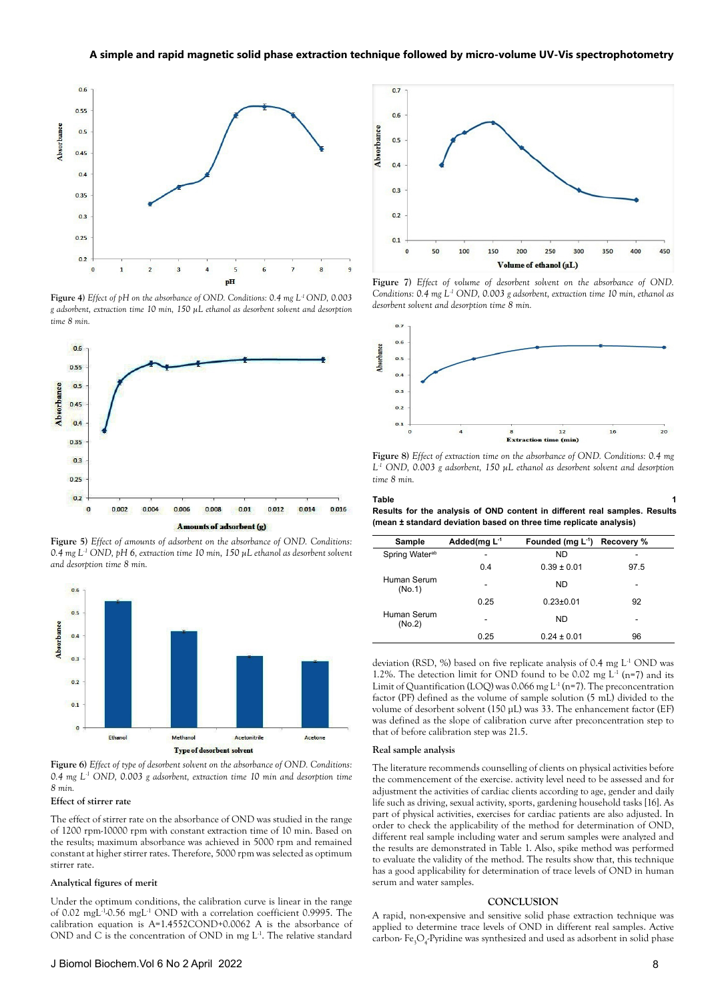

**Figure 4)** *Effect of pH on the absorbance of OND. Conditions: 0.4 mg L-1 OND, 0.003 g adsorbent, extraction time 10 min, 150 µL ethanol as desorbent solvent and desorption time 8 min.*



**Figure 5)** *Effect of amounts of adsorbent on the absorbance of OND. Conditions: 0.4 mg L-1 OND, pH 6, extraction time 10 min, 150 µL ethanol as desorbent solvent and desorption time 8 min.*



**Figure 6)** *Effect of type of desorbent solvent on the absorbance of OND. Conditions: 0.4 mg L-1 OND, 0.003 g adsorbent, extraction time 10 min and desorption time 8 min.*

# **Effect of stirrer rate**

The effect of stirrer rate on the absorbance of OND was studied in the range of 1200 rpm-10000 rpm with constant extraction time of 10 min. Based on the results; maximum absorbance was achieved in 5000 rpm and remained constant at higher stirrer rates. Therefore, 5000 rpm was selected as optimum stirrer rate.

## **Analytical figures of merit**

Under the optimum conditions, the calibration curve is linear in the range of 0.02 mgL-1-0.56 mgL-1 OND with a correlation coefficient 0.9995. The calibration equation is A=1.4552COND+0.0062 A is the absorbance of OND and C is the concentration of OND in mg  $L<sup>1</sup>$ . The relative standard



**Figure 7)** *Effect of volume of desorbent solvent on the absorbance of OND. Conditions: 0.4 mg L-1 OND, 0.003 g adsorbent, extraction time 10 min, ethanol as desorbent solvent and desorption time 8 min.*



**Figure 8)** *Effect of extraction time on the absorbance of OND. Conditions: 0.4 mg L -1 OND, 0.003 g adsorbent, 150 µL ethanol as desorbent solvent and desorption time 8 min.*

**Table** 1 **Results for the analysis of OND content in different real samples. Results (mean ± standard deviation based on three time replicate analysis)**

| <b>Sample</b>              | Added(mg L-1 | Founded (mg L <sup>-1</sup> ) Recovery % |      |
|----------------------------|--------------|------------------------------------------|------|
| Spring Water <sup>ab</sup> | -            | <b>ND</b>                                | -    |
|                            | 0.4          | $0.39 \pm 0.01$                          | 97.5 |
| Human Serum<br>(No.1)      | -            | ND                                       | -    |
|                            | 0.25         | $0.23 \pm 0.01$                          | 92   |
| Human Serum<br>(No.2)      |              | ND                                       | -    |
|                            | 0.25         | $0.24 \pm 0.01$                          | 96   |

deviation (RSD, %) based on five replicate analysis of 0.4 mg L-1 OND was 1.2%. The detection limit for OND found to be 0.02 mg  $L^1$  (n=7) and its Limit of Quantification (LOQ) was  $0.066$  mg L<sup>-1</sup> (n=7). The preconcentration factor (PF) defined as the volume of sample solution (5 mL) divided to the volume of desorbent solvent (150 µL) was 33. The enhancement factor (EF) was defined as the slope of calibration curve after preconcentration step to that of before calibration step was 21.5.

#### **Real sample analysis**

The literature recommends counselling of clients on physical activities before the commencement of the exercise. activity level need to be assessed and for adjustment the activities of cardiac clients according to age, gender and daily life such as driving, sexual activity, sports, gardening household tasks [16]. As part of physical activities, exercises for cardiac patients are also adjusted. In order to check the applicability of the method for determination of OND, different real sample including water and serum samples were analyzed and the results are demonstrated in Table 1. Also, spike method was performed to evaluate the validity of the method. The results show that, this technique has a good applicability for determination of trace levels of OND in human serum and water samples.

#### **CONCLUSION**

A rapid, non-expensive and sensitive solid phase extraction technique was applied to determine trace levels of OND in different real samples. Active carbon- $Fe_{3}O_{4}$ -Pyridine was synthesized and used as adsorbent in solid phase